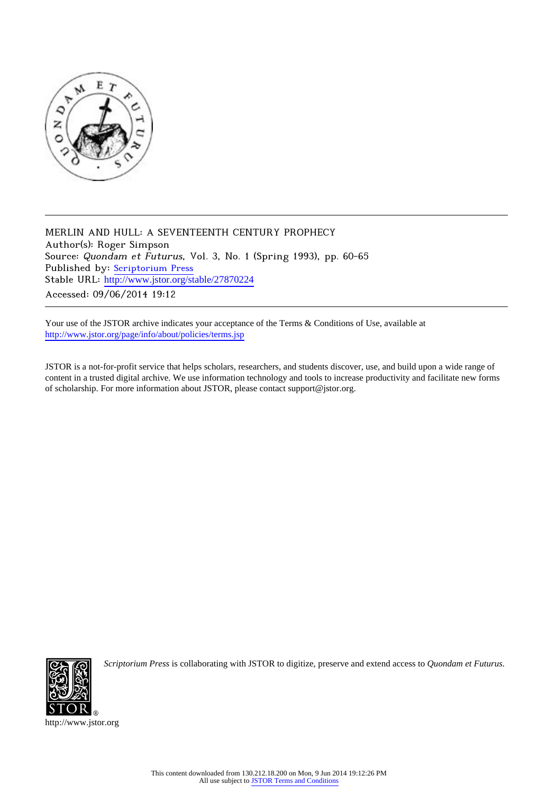

MERLIN AND HULL: A SEVENTEENTH CENTURY PROPHECY Author(s): Roger Simpson Source: Quondam et Futurus, Vol. 3, No. 1 (Spring 1993), pp. 60-65 Published by: [Scriptorium Press](http://www.jstor.org/action/showPublisher?publisherCode=scriptorium) Stable URL: http://www.jstor.org/stable/27870224 Accessed: 09/06/2014 19:12

Your use of the JSTOR archive indicates your acceptance of the Terms & Conditions of Use, available at <http://www.jstor.org/page/info/about/policies/terms.jsp>

JSTOR is a not-for-profit service that helps scholars, researchers, and students discover, use, and build upon a wide range of content in a trusted digital archive. We use information technology and tools to increase productivity and facilitate new forms of scholarship. For more information about JSTOR, please contact support@jstor.org.



*Scriptorium Press* is collaborating with JSTOR to digitize, preserve and extend access to *Quondam et Futurus.*

http://www.jstor.org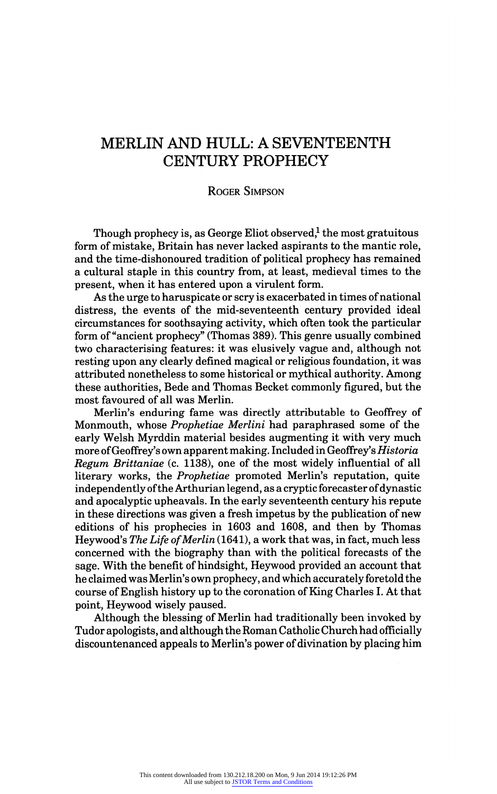# MERLIN AND HULL: A SEVENTEENTH CENTURY PROPHECY

# Roger Simpson

Though prophecy is, as George Eliot observed, $1$  the most gratuitous form of mistake, Britain has never lacked aspirants to the mantic role, and the time-dishonoured tradition of political prophecy has remained a cultural staple in this country from, at least, medieval times to the present, when it has entered upon a virulent form.

As the urge to haruspicate or scry is exacerbated in times of national distress, the events of the mid-seventeenth century provided ideal circumstances for soothsaying activity, which often took the particular form of "ancient prophecy" (Thomas 389). This genre usually combined two characterising features: it was elusively vague and, although not resting upon any clearly defined magical or religious foundation, it was attributed nonetheless to some historical or mythical authority. Among these authorities, Bede and Thomas Becket commonly figured, but the most favoured of all was Merlin.

Merlin's enduring fame was directly attributable to Geoffrey of Monmouth, whose Prophetiae Merlini had paraphrased some of the early Welsh Myrddin material besides augmenting it with very much more of Geoffrey's own apparent making. Included in Geoffrey's Historia Regum Brittaniae (c. 1138), one of the most widely influential of all literary works, the Prophetiae promoted Merlin's reputation, quite independently of the Arthurian legend, as a cryptic forecaster of dynastic and apocalyptic upheavals. In the early seventeenth century his repute in these directions was given a fresh impetus by the publication of new editions of his prophecies in 1603 and 1608, and then by Thomas Heywood's The Life of Merlin (1641), a work that was, in fact, much less concerned with the biography than with the political forecasts of the sage. With the benefit of hindsight, Heywood provided an account that he claimed was Merlin's own prophecy, and which accurately foretold the course of English history up to the coronation of King Charles I. At that point, Heywood wisely paused.

Although the blessing of Merlin had traditionally been invoked by Tudor apologists, and although the Roman Catholic Church had officially discountenanced appeals to Merlin's power of divination by placing him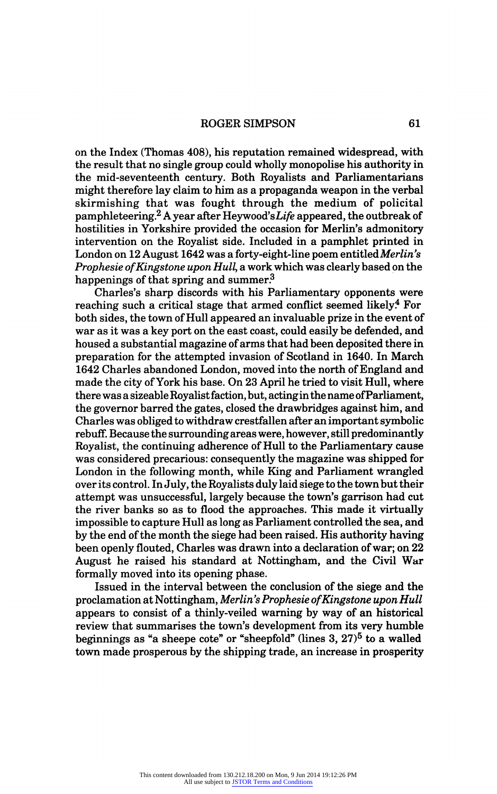ROGER SIMPSON 61

on the Index (Thomas 408), his reputation remained widespread, with the result that no single group could wholly monopolise his authority in the mid-seventeenth century. Both Royalists and Parliamentarians might therefore lay claim to him as a propaganda weapon in the verbal might therefore lay claim to him as a propaganda weapon in the verbal skirmishing that was fought through the medium of policital<br>normalists in  $2\lambda$  records Using  $l^2L^2$  represent the orthogology pamphleteering.<sup>2</sup> A year after Heywood's Life appeared, the outbreak of  $\frac{1}{2}$ hostilities in Yorkshire provided the occasion for Merlin's admonitory intervention on the Royalist side. Included in a pamphlet printed in London on 12 August 1642 was a forty-eight-line poem entitled Merlin's Prophesie of Kingstone upon Hull, a work which was clearly based on the happenings of that spring and summer.<sup>3</sup>

Charles's sharp discords with his Parliamentary opponents were reaching such a critical stage that armed conflict seemed likely.<sup>4</sup> For both sides, the town of Hull appeared an invaluable prize in the event of war as it was a key port on the east coast, could easily be defended, and housed a substantial magazine of arms that had been deposited there in preparation for the attempted invasion of Scotland in 1640. In March 1642 Charles abandoned London, moved into the north of England and made the city of York his base. On 23 April he tried to visit Hull, where there was a sizeable Royalist faction, but, actingin the name of Parliament, the governor barred the gates, closed the drawbridges against him, and Charles was obliged to withdraw crestfallen after an important symbolic rebuff. Because the surrounding areas were, however, still predominantly Royalist, the continuing adherence of Hull to the Parliamentary cause was considered precarious: consequently the magazine was shipped for London in the following month, while King and Parliament wrangled over its control. In July, the Royalists duly laid siege to the town but their attempt was unsuccessful, largely because the town's garrison had cut the river banks so as to flood the approaches. This made it virtually impossible to capture Hull as long as Parliament controlled the sea, and by the end of the month the siege had been raised. His authority having been openly flouted, Charles was drawn into a declaration of war; on 22 August he raised his standard at Nottingham, and the Civil War formally moved into its opening phase.

Issued in the interval between the conclusion of the siege and the proclamation at Nottingham, Merlin's Prophesie of Kingstone upon Hull appears to consist of a thinly-veiled warning by way of an historical review that summarises the town's development from its very humble beginnings as "a sheepe cote" or "sheepfold" (lines  $3, 27$ )<sup>5</sup> to a walled town made prosperous by the shipping trade, an increase in prosperity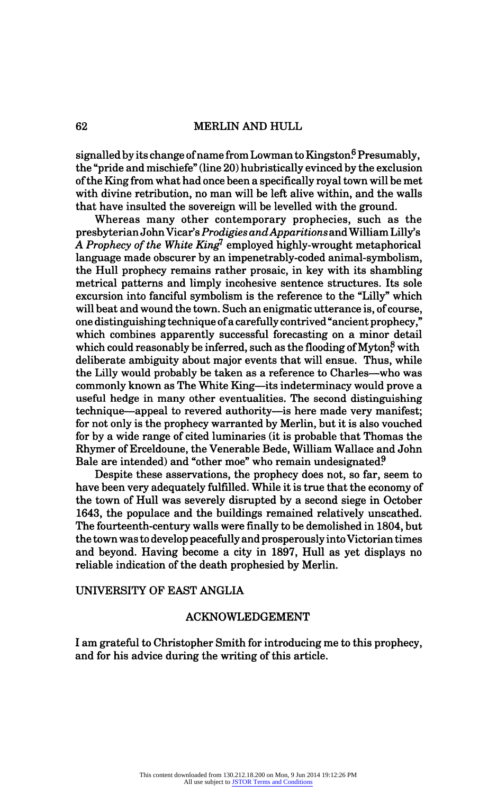signalled by its change of name from Lowman to Kingston.<sup>6</sup> Presumably, the "pride and mischiefe" (line 20) hubristically evinced by the exclusion of the King from what had once been a specifically royal town will be met with divine retribution, no man will be left alive within, and the walls that have insulted the sovereign will be levelled with the ground.

Whereas many other contemporary prophecies, such as the presbyterian John Vicar's Prodigies and Apparitions and William Lilly's A Prophecy of the White King<sup>7</sup> employed highly-wrought metaphorical language made obscurer by an impenetrably-coded animal-symbolism, the Hull prophecy remains rather prosaic, in key with its shambling metrical patterns and limply incohesive sentence structures. Its sole excursion into fanciful symbolism is the reference to the "Lilly" which will beat and wound the town. Such an enigmatic utterance is, of course, one distinguishing technique of a carefully contrived "ancient prophecy," which combines apparently successful forecasting on a minor detail which could reasonably be inferred, such as the flooding of Myton<sup>8</sup> with deliberate ambiguity about major events that will ensue. Thus, while the Lilly would probably be taken as a reference to Charles—who was commonly known as The White King—its indeterminacy would prove a useful hedge in many other eventualities. The second distinguishing technique—appeal to revered authority—is here made very manifest; for not only is the prophecy warranted by Merlin, but it is also vouched for by a wide range of cited luminaries (it is probable that Thomas the Rhymer of Erceldoune, the Venerable Bede, William Wallace and John Bale are intended) and "other moe" who remain undesignated?

Despite these asservations, the prophecy does not, so far, seem to have been very adequately fulfilled. While it is true that the economy of the town of Hull was severely disrupted by a second siege in October 1643, the populace and the buildings remained relatively unscathed. The fourteenth-century walls were finally to be demolished in 1804, but the town was to develop peacefully and prosperously into Victorian times and beyond. Having become a city in 1897, Hull as yet displays no reliable indication of the death prophesied by Merlin.

### UNIVERSITY OF EAST ANGLIA

#### ACKNOWLEDGEMENT

I am grateful to Christopher Smith for introducing me to this prophecy, and for his advice during the writing of this article.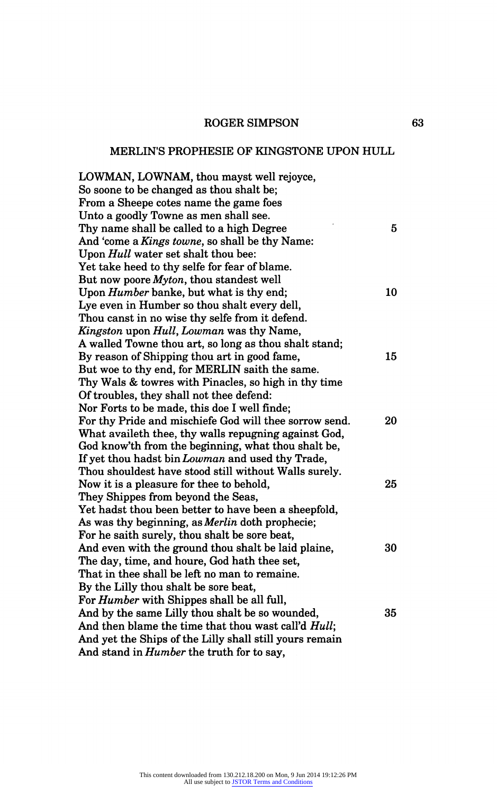# ROGER SIMPSON

# MERLIN'S PROPHESIE OF KINGSTONE UPON HULL

| LOWMAN, LOWNAM, thou mayst well rejoyce,                |    |
|---------------------------------------------------------|----|
| So soone to be changed as thou shalt be;                |    |
| From a Sheepe cotes name the game foes                  |    |
| Unto a goodly Towne as men shall see.                   |    |
| Thy name shall be called to a high Degree               | 5  |
| And 'come a Kings towne, so shall be thy Name:          |    |
| Upon Hull water set shalt thou bee:                     |    |
| Yet take heed to thy selfe for fear of blame.           |    |
| But now poore Myton, thou standest well                 |    |
| Upon <i>Humber</i> banke, but what is thy end;          | 10 |
| Lye even in Humber so thou shalt every dell,            |    |
| Thou canst in no wise thy selfe from it defend.         |    |
| Kingston upon Hull, Lowman was thy Name,                |    |
| A walled Towne thou art, so long as thou shalt stand;   |    |
| By reason of Shipping thou art in good fame,            | 15 |
| But woe to thy end, for MERLIN saith the same.          |    |
| Thy Wals & towres with Pinacles, so high in thy time    |    |
| Of troubles, they shall not thee defend:                |    |
| Nor Forts to be made, this doe I well finde;            |    |
| For thy Pride and mischiefe God will thee sorrow send.  | 20 |
| What availeth thee, thy walls repugning against God,    |    |
| God know'th from the beginning, what thou shalt be,     |    |
| If yet thou hadst bin Lowman and used thy Trade,        |    |
| Thou shouldest have stood still without Walls surely.   |    |
| Now it is a pleasure for thee to behold,                | 25 |
| They Shippes from beyond the Seas,                      |    |
| Yet hadst thou been better to have been a sheepfold,    |    |
| As was thy beginning, as Merlin doth prophecie;         |    |
| For he saith surely, thou shalt be sore beat,           |    |
| And even with the ground thou shalt be laid plaine,     | 30 |
| The day, time, and houre, God hath thee set,            |    |
| That in thee shall be left no man to remaine.           |    |
| By the Lilly thou shalt be sore beat,                   |    |
| For <i>Humber</i> with Shippes shall be all full,       |    |
| And by the same Lilly thou shalt be so wounded,         | 35 |
| And then blame the time that thou wast call'd Hull;     |    |
| And yet the Ships of the Lilly shall still yours remain |    |
| And stand in <i>Humber</i> the truth for to say,        |    |
|                                                         |    |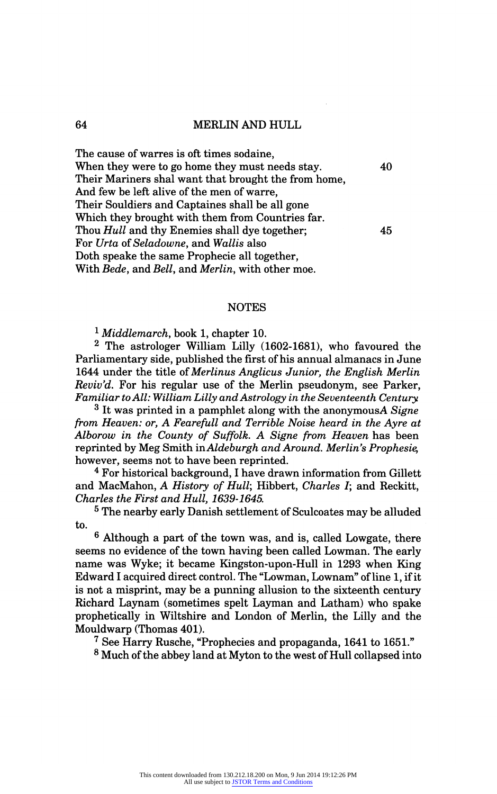#### MERLIN AND HULL

The cause of warres is oft times sodaine,<br>When they were to go home they must needs stay. 40 when they were to go home they must needs stay. Their Mariners shal want that brought the from home And few be left alive of the men of warre, Their Souldiers and Captaines shall be all gone Which they brought with them from Countries far. Thou Hull and thy Enemies shall dye together; 45 For Urta of Seladowne, and Wallis also Doth speake the same Prophecie all together, With Bede, and Bell, and Merlin, with other moe.

#### NOTES

 $1$  Middlemarch, book 1, chapter 10.

<sup>2</sup> The astrologer William Lilly (1602-1681), who favoured the Parliamentary side, published the first of his annual almanacs in June 1644 under the title of Merlinus Anglicus Junior, the English Merlin Reviv'd. For his regular use of the Merlin pseudonym, see Parker, Familiar to All: William Lilly and Astrology in the Seventeenth Century.

 $3$  It was printed in a pamphlet along with the anonymousA Signe from Heaven: or, A Fearefull and Terrible Noise heard in the Ayre at Alborow in the County of Suffolk. A Signe from Heaven has been reprinted by Meg Smith inAldeburgh and Around. Merlin's Prophesie, however, seems not to have been reprinted.

<sup>4</sup> For historical background, I have drawn information from Gillett and MacMahon, A History of Hull; Hibbert, Charles I; and Reckitt, Charles the First and Hull, 1639-1645.

<sup>5</sup> The nearby early Danish settlement of Sculcoates may be alluded to.

 $\frac{6}{10}$  Although a part of the town was, and is, called Lowgate, there seems no evidence of the town having been called Lowman. The early name was Wyke; it became Kingston-upon-Hull in 1293 when King Edward I acquired direct control. The "Lowman, Lownam" of line 1, if it is not a misprint, may be a punning allusion to the sixteenth century Richard Laynam (sometimes spelt Layman and Latham) who spake prophetically in Wiltshire and London of Merlin, the Lilly and the Mouldwarp (Thomas 401).

7 See Harry Rusche, "Prophecies and propaganda, 1641 to 1651."

<sup>8</sup> Much of the abbey land at Myton to the west of Hull collapsed into

#### 64